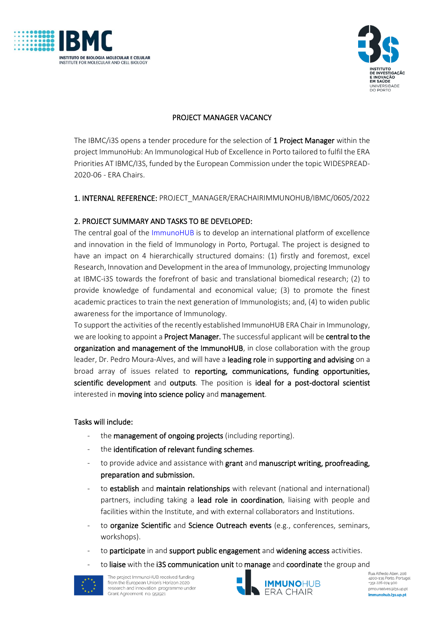



## PROJECT MANAGER VACANCY

The IBMC/i3S opens a tender procedure for the selection of 1 Project Manager within the project ImmunoHub: An Immunological Hub of Excellence in Porto tailored to fulfil the ERA Priorities AT IBMC/I3S, funded by the European Commission under the topic WIDESPREAD-2020-06 - ERA Chairs.

### 1. INTERNAL REFERENCE: PROJECT\_MANAGER/ERACHAIRIMMUNOHUB/IBMC/0605/2022

### 2. PROJECT SUMMARY AND TASKS TO BE DEVELOPED:

The central goal of the [ImmunoHUB](https://immunohub.i3s.up.pt/about/) is to develop an international platform of excellence and innovation in the field of Immunology in Porto, Portugal. The project is designed to have an impact on 4 hierarchically structured domains: (1) firstly and foremost, excel Research, Innovation and Development in the area of Immunology, projecting Immunology at IBMC-i3S towards the forefront of basic and translational biomedical research; (2) to provide knowledge of fundamental and economical value; (3) to promote the finest academic practices to train the next generation of Immunologists; and, (4) to widen public awareness for the importance of Immunology.

To support the activities of the recently established ImmunoHUB ERA Chair in Immunology, we are looking to appoint a Project Manager. The successful applicant will be central to the organization and management of the ImmunoHUB, in close collaboration with the group leader, Dr. Pedro Moura-Alves, and will have a leading role in supporting and advising on a broad array of issues related to reporting, communications, funding opportunities, scientific development and outputs. The position is ideal for a post-doctoral scientist interested in moving into science policy and management.

#### Tasks will include:

- the management of ongoing projects (including reporting).
- the identification of relevant funding schemes.
- to provide advice and assistance with grant and manuscript writing, proofreading, preparation and submission.
- to establish and maintain relationships with relevant (national and international) partners, including taking a lead role in coordination, liaising with people and facilities within the Institute, and with external collaborators and Institutions.
- to organize Scientific and Science Outreach events (e.g., conferences, seminars, workshops).
- to participate in and support public engagement and widening access activities.
- to liaise with the i3S communication unit to manage and coordinate the group and



The project ImmunoHUB received funding from the European Union's Horizon 2020 research and innovation programme under Grant Agreement no. 951921



Rua Alfredo Allen, 208 nua Airreuo Alleri, 200<br>4200-135 Porto, Portugal +351 226 074 900 pmouraalves@i3s.up.pt immunohub.i3s.up.pt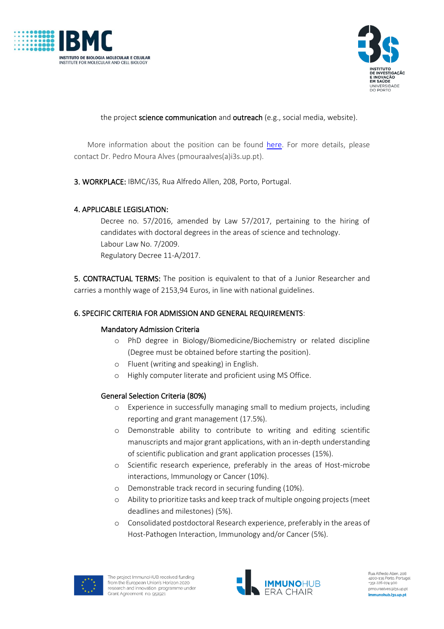



the project science communication and outreach (e.g., social media, website).

More information about the position can be found [here.](https://immunohub.i3s.up.pt/) For more details, please contact Dr. Pedro Moura Alves (pmouraalves(a)i3s.up.pt).

3. WORKPLACE: IBMC/i3S, Rua Alfredo Allen, 208, Porto, Portugal.

## 4. APPLICABLE LEGISLATION:

Decree no. 57/2016, amended by Law 57/2017, pertaining to the hiring of candidates with doctoral degrees in the areas of science and technology. Labour Law No. 7/2009. Regulatory Decree 11-A/2017.

5. CONTRACTUAL TERMS: The position is equivalent to that of a Junior Researcher and carries a monthly wage of 2153,94 Euros, in line with national guidelines.

## 6. SPECIFIC CRITERIA FOR ADMISSION AND GENERAL REQUIREMENTS:

### Mandatory Admission Criteria

- o PhD degree in Biology/Biomedicine/Biochemistry or related discipline (Degree must be obtained before starting the position).
- o Fluent (writing and speaking) in English.
- o Highly computer literate and proficient using MS Office.

### General Selection Criteria (80%)

- o Experience in successfully managing small to medium projects, including reporting and grant management (17.5%).
- o Demonstrable ability to contribute to writing and editing scientific manuscripts and major grant applications, with an in-depth understanding of scientific publication and grant application processes (15%).
- o Scientific research experience, preferably in the areas of Host-microbe interactions, Immunology or Cancer (10%).
- o Demonstrable track record in securing funding (10%).
- o Ability to prioritize tasks and keep track of multiple ongoing projects (meet deadlines and milestones) (5%).
- o Consolidated postdoctoral Research experience, preferably in the areas of Host-Pathogen Interaction, Immunology and/or Cancer (5%).



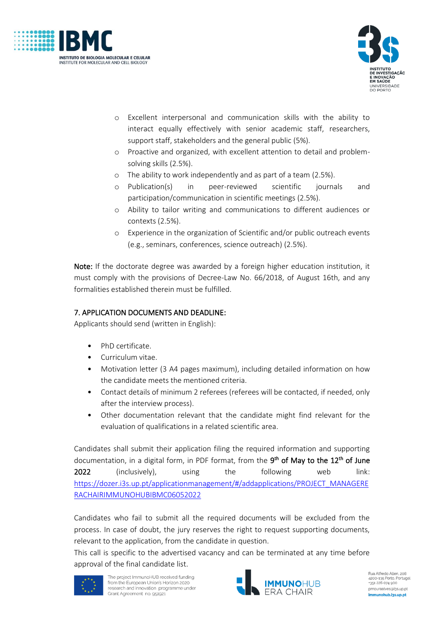



- o Excellent interpersonal and communication skills with the ability to interact equally effectively with senior academic staff, researchers, support staff, stakeholders and the general public (5%).
- o Proactive and organized, with excellent attention to detail and problemsolving skills (2.5%).
- o The ability to work independently and as part of a team (2.5%).
- o Publication(s) in peer-reviewed scientific journals and participation/communication in scientific meetings (2.5%).
- o Ability to tailor writing and communications to different audiences or contexts (2.5%).
- o Experience in the organization of Scientific and/or public outreach events (e.g., seminars, conferences, science outreach) (2.5%).

Note: If the doctorate degree was awarded by a foreign higher education institution, it must comply with the provisions of Decree-Law No. 66/2018, of August 16th, and any formalities established therein must be fulfilled.

# 7. APPLICATION DOCUMENTS AND DEADLINE:

Applicants should send (written in English):

- PhD certificate.
- Curriculum vitae.
- Motivation letter (3 A4 pages maximum), including detailed information on how the candidate meets the mentioned criteria.
- Contact details of minimum 2 referees (referees will be contacted, if needed, only after the interview process).
- Other documentation relevant that the candidate might find relevant for the evaluation of qualifications in a related scientific area.

Candidates shall submit their application filing the required information and supporting documentation, in a digital form, in PDF format, from the 9<sup>th</sup> of May to the 12<sup>th</sup> of June 2022 (inclusively), using the following web link: [https://dozer.i3s.up.pt/applicationmanagement/#/addapplications/PROJECT\\_MANAGERE](https://dozer.i3s.up.pt/applicationmanagement/#/addapplications/PROJECT_MANAGERERACHAIRIMMUNOHUBIBMC06052022) [RACHAIRIMMUNOHUBIBMC06052022](https://dozer.i3s.up.pt/applicationmanagement/#/addapplications/PROJECT_MANAGERERACHAIRIMMUNOHUBIBMC06052022)

Candidates who fail to submit all the required documents will be excluded from the process. In case of doubt, the jury reserves the right to request supporting documents, relevant to the application, from the candidate in question.

This call is specific to the advertised vacancy and can be terminated at any time before approval of the final candidate list.



The project ImmunoHUB received funding from the European Union's Horizon 2020 research and innovation programme under Grant Agreement no. 951921



Rua Alfredo Allen, 208 ران باری بازی بازی به در 135-200 بازی<br>4200-135 Porto, Portugal +351 226 074 900 pmouraalves@i3s.up.pt immunohub.i3s.up.pt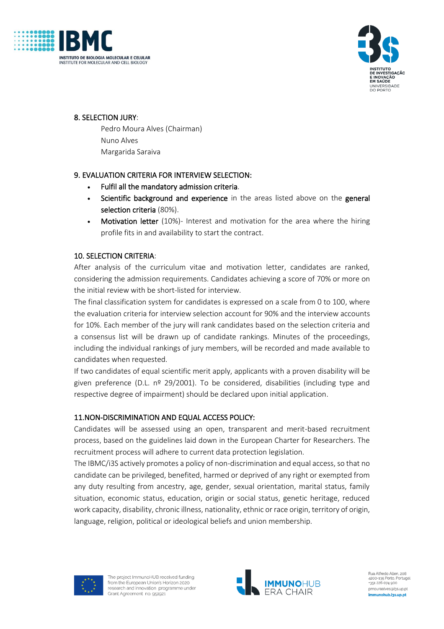



## 8. SELECTION JURY:

Pedro Moura Alves (Chairman) Nuno Alves Margarida Saraiva

## 9. EVALUATION CRITERIA FOR INTERVIEW SELECTION:

- Fulfil all the mandatory admission criteria.
- Scientific background and experience in the areas listed above on the general selection criteria (80%).
- Motivation letter (10%)- Interest and motivation for the area where the hiring profile fits in and availability to start the contract.

## 10. SELECTION CRITERIA:

After analysis of the curriculum vitae and motivation letter, candidates are ranked, considering the admission requirements. Candidates achieving a score of 70% or more on the initial review with be short-listed for interview.

The final classification system for candidates is expressed on a scale from 0 to 100, where the evaluation criteria for interview selection account for 90% and the interview accounts for 10%. Each member of the jury will rank candidates based on the selection criteria and a consensus list will be drawn up of candidate rankings. Minutes of the proceedings, including the individual rankings of jury members, will be recorded and made available to candidates when requested.

If two candidates of equal scientific merit apply, applicants with a proven disability will be given preference (D.L.  $n^{\circ}$  29/2001). To be considered, disabilities (including type and respective degree of impairment) should be declared upon initial application.

### 11.NON-DISCRIMINATION AND EQUAL ACCESS POLICY:

Candidates will be assessed using an open, transparent and merit-based recruitment process, based on the guidelines laid down in the European Charter for Researchers. The recruitment process will adhere to current data protection legislation.

The IBMC/i3S actively promotes a policy of non-discrimination and equal access, so that no candidate can be privileged, benefited, harmed or deprived of any right or exempted from any duty resulting from ancestry, age, gender, sexual orientation, marital status, family situation, economic status, education, origin or social status, genetic heritage, reduced work capacity, disability, chronic illness, nationality, ethnic or race origin, territory of origin, language, religion, political or ideological beliefs and union membership.



The project ImmunoHUB received funding from the European Union's Horizon 2020 research and innovation programme under Grant Agreement no. 951921



Rua Alfredo Allen, 208 ران باری بازی بازی به در 135-200 بازی<br>4200-135 Porto, Portugal +351 226 074 900 pmouraalves@i3s.up.pt immunohub.i3s.up.pt